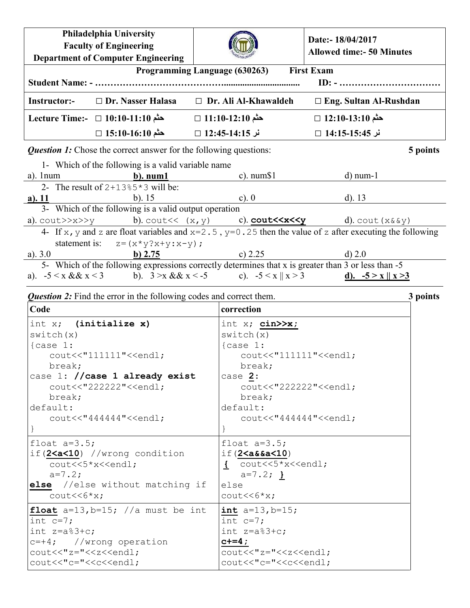| <b>Philadelphia University</b><br><b>Faculty of Engineering</b><br><b>Department of Computer Engineering</b>               |                                                    |                                                                                                        | Date:- 18/04/2017<br><b>Allowed time:- 50 Minutes</b> |  |  |  |
|----------------------------------------------------------------------------------------------------------------------------|----------------------------------------------------|--------------------------------------------------------------------------------------------------------|-------------------------------------------------------|--|--|--|
| Programming Language (630263) First Exam<br>$ID: - \dots \dots \dots \dots \dots \dots \dots \dots \dots \dots$            |                                                    |                                                                                                        |                                                       |  |  |  |
| Instructor:-                                                                                                               | $\Box$ Dr. Nasser Halasa                           | $\Box$ Dr. Ali Al-Khawaldeh                                                                            | $\Box$ Eng. Sultan Al-Rushdan                         |  |  |  |
|                                                                                                                            | حثم 10:10-11:10 □ 10:10 Lecture Time:-             | حثم 11:10-12:10 □                                                                                      | حثم 13:10-13:10 □                                     |  |  |  |
|                                                                                                                            | حثم 15:10-16:10 □                                  | نر 14:15-14:35 □                                                                                       | نر 15:45-14:15 □                                      |  |  |  |
| <b>Question 1:</b> Chose the correct answer for the following questions:<br>5 points                                       |                                                    |                                                                                                        |                                                       |  |  |  |
|                                                                                                                            | 1- Which of the following is a valid variable name |                                                                                                        |                                                       |  |  |  |
|                                                                                                                            | a). 1 num $\qquad \qquad \mathbf{b}$ ). num 1      | c). $num\$1$                                                                                           | $d)$ num-1                                            |  |  |  |
|                                                                                                                            | 2- The result of $2+13*5*3$ will be:               |                                                                                                        |                                                       |  |  |  |
| $a)$ . 11                                                                                                                  | $b)$ . 15                                          | $c)$ . 0                                                                                               | $d)$ . 13                                             |  |  |  |
| 3- Which of the following is a valid output operation                                                                      |                                                    |                                                                                                        |                                                       |  |  |  |
|                                                                                                                            |                                                    | a). cout>>x>>y b). cout<< (x, y) c). cout<< x, y c). cout<< x < y d). cout (x & xy)                    |                                                       |  |  |  |
| 4- If x, y and z are float variables and $x=2.5$ , $y=0.25$ then the value of z after executing the following              |                                                    |                                                                                                        |                                                       |  |  |  |
|                                                                                                                            | statement is: $z = (x * y?x+y:x-y)$ ;              |                                                                                                        |                                                       |  |  |  |
| a). $3.0$                                                                                                                  | $\underline{b) 2.75}$                              | $c)$ 2.25                                                                                              | d) 2.0                                                |  |  |  |
| 5- Which of the following expressions correctly determines that x is greater than $\frac{3}{2}$ or less than $\frac{5}{2}$ |                                                    |                                                                                                        |                                                       |  |  |  |
|                                                                                                                            |                                                    | a). $-5 < x & 8 & x < 3$<br>b). $3 > x & 8 & x < -5$<br>c). $-5 < x    x > 3$<br>d). $-5 > x    x > 3$ |                                                       |  |  |  |

## *Question 2:* Find the error in the following codes and correct them. **3 points**

| Code                                                                                                                          | correction                                             |
|-------------------------------------------------------------------------------------------------------------------------------|--------------------------------------------------------|
| int $x$ ; (initialize $x$ )                                                                                                   | int $x$ ; cin $\gg x$ ;                                |
| switch(x)                                                                                                                     | switch(x)                                              |
| $\{case 1:$                                                                                                                   | $\{case 1:$                                            |
| cout<<"111111"< <endl;< th=""><th><math>\text{cout} \leq \text{``111111''} \leq \text{cend1}</math></th></endl;<>             | $\text{cout} \leq \text{``111111''} \leq \text{cend1}$ |
| break;                                                                                                                        | break;                                                 |
| case 1: //case 1 already exist                                                                                                | case $2:$                                              |
| cout<<"222222"< <endl;< th=""><th>cout&lt;&lt;"222222"&lt;<endl;< th=""></endl;<></th></endl;<>                               | cout<<"222222"< <endl;< th=""></endl;<>                |
| break;                                                                                                                        | break;                                                 |
| default:                                                                                                                      | default:                                               |
| $\text{cout}<<$ "44444" < <endl;< th=""><th><math>\text{cout}&lt;&lt;</math>"44444" &lt;<endl;< th=""></endl;<></th></endl;<> | $\text{cout}<<$ "44444" < <endl;< th=""></endl;<>      |
|                                                                                                                               |                                                        |
| float $a=3.5$ ;                                                                                                               | float $a=3.5$ ;                                        |
| if(2 <a<10) condition<="" td="" wrong=""><td>if (2 &lt; a &amp; 4 &lt; 10)</td></a<10)>                                       | if (2 < a & 4 < 10)                                    |
| cout<<5*x< <endl;< td=""><td>{ <math>\text{cout}&lt;&lt;5*x&lt;<end1;< math=""></end1;<></math></td></endl;<>                 | { $\text{cout}<<5*x<$                                  |
| $a=7.2$ ;                                                                                                                     | $a=7.2;$ }                                             |
| else //else without matching if                                                                                               | else                                                   |
| $\text{cout} \ll 6 \times x$ ;                                                                                                | $\text{cout} \ll 6 \times x;$                          |
| float $a=13$ , $b=15$ ; //a must be int                                                                                       | int $a=13$ , $b=15$ ;                                  |
| int $c=7$ ;                                                                                                                   | int $c=7$ ;                                            |
| int $z=a$ <sup>83+c;</sup>                                                                                                    | int $z=a\$ 3+c;                                        |
| $c=+4$ ; //wrong operation                                                                                                    | $c+=4$ ;                                               |
| cout<<"z="< <z<<endl;< td=""><td>cout&lt;&lt;"z="&lt;<z<<endl;< td=""></z<<endl;<></td></z<<endl;<>                           | cout<<"z="< <z<<endl;< td=""></z<<endl;<>              |
| $\text{cout}<<"$ c=" $<];$                                                                                                    | cout<<"c="< <c<<endl;< td=""></c<<endl;<>              |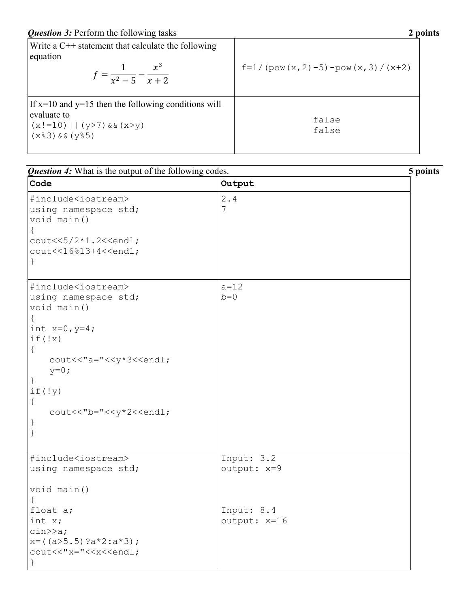| Write a $C++$ statement that calculate the following<br>equation<br>$f = \frac{1}{x^2 - 5} - \frac{x^3}{x + 2}$             | $f=1/(pow(x, 2) - 5) - pow(x, 3)/(x+2)$ |  |
|-----------------------------------------------------------------------------------------------------------------------------|-----------------------------------------|--|
| If $x=10$ and $y=15$ then the following conditions will<br>evaluate to<br>$(x!=10)$   $(y>7)$ & $(x>y)$<br>$(x83)$ $x(185)$ | false<br>false                          |  |

| <b>Question 4:</b> What is the output of the following codes.                                                                                                                  | 5 points                   |  |
|--------------------------------------------------------------------------------------------------------------------------------------------------------------------------------|----------------------------|--|
| Code                                                                                                                                                                           | Output                     |  |
| #include <iostream><br/>using namespace std;<br/>void main ()<br/>cout&lt;&lt;5/2*1.2&lt;<endl;< th=""><th>2.4<br/>7</th><th></th></endl;<></iostream>                         | 2.4<br>7                   |  |
| cout<<16%13+4< <endl;< td=""><td></td><td></td></endl;<>                                                                                                                       |                            |  |
| #include <iostream><br/>using namespace std;<br/>void main ()<br/>int <math>x=0, y=4;</math></iostream>                                                                        | $a = 12$<br>$b=0$          |  |
| if (!x)<br>$\{$<br>cout<<"a="< <y*3<<endl;<br><math>y=0;</math></y*3<<endl;<br>                                                                                                |                            |  |
| if('y)<br>cout<<"b="< <y*2<<endl;<br>J</y*2<<endl;<br>                                                                                                                         |                            |  |
| #include <iostream><br/>using namespace std;<br/>void main ()</iostream>                                                                                                       | Input: 3.2<br>output: x=9  |  |
| float a;<br>int x;<br>$\text{cin} \geq \text{a};$<br>$x = ((a>5.5) ?a * 2 : a * 3);$<br>cout<<"x="< <x<<endl;< td=""><td>Input: 8.4<br/>output: x=16</td><td></td></x<<endl;<> | Input: 8.4<br>output: x=16 |  |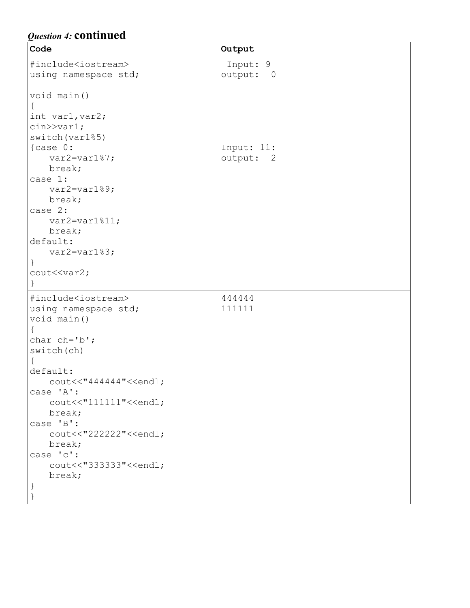## *Question 4:* **continued**

| Code                                                    | Output     |
|---------------------------------------------------------|------------|
| #include <iostream></iostream>                          | Input: 9   |
| using namespace std;                                    | output: 0  |
|                                                         |            |
| void main ()                                            |            |
| $\{$                                                    |            |
| int var1, var2;                                         |            |
| $\text{cin} \text{>} \text{var1};$                      |            |
| switch (var1%5)                                         |            |
| $\{case 0:$                                             | Input: 11: |
| $var2 = var187;$                                        | output: 2  |
| break;                                                  |            |
| case 1:                                                 |            |
| var2=var1%9;                                            |            |
| break;                                                  |            |
| case 2:                                                 |            |
| $var2 = var1$ \$11;                                     |            |
| break;<br>default:                                      |            |
|                                                         |            |
| $var2 = var183;$                                        |            |
| $\mathcal{F}$<br>cout< <var2;< td=""><td></td></var2;<> |            |
|                                                         |            |
|                                                         |            |
| #include <iostream></iostream>                          | 444444     |
| using namespace std;                                    | 111111     |
| void main()                                             |            |
|                                                         |            |
| char $ch='b$ ';                                         |            |
| switch(ch)                                              |            |
| default:                                                |            |
| cout<<"444444"< <endl;< td=""><td></td></endl;<>        |            |
| case 'A':                                               |            |
| cout<<"111111"< <endl;< td=""><td></td></endl;<>        |            |
| break;                                                  |            |
| case 'B':                                               |            |
| cout<<"222222"< <endl;< td=""><td></td></endl;<>        |            |
| break;                                                  |            |
| case 'c':                                               |            |
| cout<<"333333"< <endl;< td=""><td></td></endl;<>        |            |
| break;                                                  |            |
|                                                         |            |
|                                                         |            |